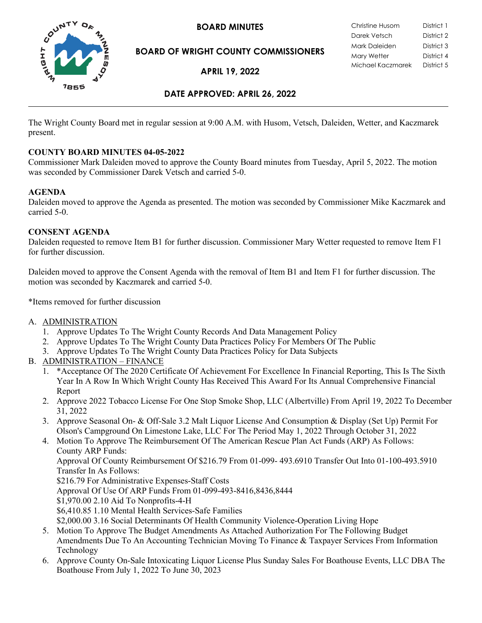

**BOARD OF WRIGHT COUNTY COMMISSIONERS**

**APRIL 19, 2022**

### **DATE APPROVED: APRIL 26, 2022**

The Wright County Board met in regular session at 9:00 A.M. with Husom, Vetsch, Daleiden, Wetter, and Kaczmarek present.

### **COUNTY BOARD MINUTES 04-05-2022**

Commissioner Mark Daleiden moved to approve the County Board minutes from Tuesday, April 5, 2022. The motion was seconded by Commissioner Darek Vetsch and carried 5-0.

### **AGENDA**

Daleiden moved to approve the Agenda as presented. The motion was seconded by Commissioner Mike Kaczmarek and carried 5-0.

### **CONSENT AGENDA**

Daleiden requested to remove Item B1 for further discussion. Commissioner Mary Wetter requested to remove Item F1 for further discussion.

Daleiden moved to approve the Consent Agenda with the removal of Item B1 and Item F1 for further discussion. The motion was seconded by Kaczmarek and carried 5-0.

\*Items removed for further discussion

- A. ADMINISTRATION
	- 1. Approve Updates To The Wright County Records And Data Management Policy
	- 2. Approve Updates To The Wright County Data Practices Policy For Members Of The Public
	- 3. Approve Updates To The Wright County Data Practices Policy for Data Subjects
- B. ADMINISTRATION FINANCE
	- 1. \*Acceptance Of The 2020 Certificate Of Achievement For Excellence In Financial Reporting, This Is The Sixth Year In A Row In Which Wright County Has Received This Award For Its Annual Comprehensive Financial Report
	- 2. Approve 2022 Tobacco License For One Stop Smoke Shop, LLC (Albertville) From April 19, 2022 To December 31, 2022
	- 3. Approve Seasonal On- & Off-Sale 3.2 Malt Liquor License And Consumption & Display (Set Up) Permit For Olson's Campground On Limestone Lake, LLC For The Period May 1, 2022 Through October 31, 2022
	- 4. Motion To Approve The Reimbursement Of The American Rescue Plan Act Funds (ARP) As Follows: County ARP Funds: Approval Of County Reimbursement Of \$216.79 From 01-099- 493.6910 Transfer Out Into 01-100-493.5910 Transfer In As Follows: \$216.79 For Administrative Expenses-Staff Costs Approval Of Use Of ARP Funds From 01-099-493-8416,8436,8444 \$1,970.00 2.10 Aid To Nonprofits-4-H \$6,410.85 1.10 Mental Health Services-Safe Families \$2,000.00 3.16 Social Determinants Of Health Community Violence-Operation Living Hope
	- 5. Motion To Approve The Budget Amendments As Attached Authorization For The Following Budget Amendments Due To An Accounting Technician Moving To Finance & Taxpayer Services From Information Technology
	- 6. Approve County On-Sale Intoxicating Liquor License Plus Sunday Sales For Boathouse Events, LLC DBA The Boathouse From July 1, 2022 To June 30, 2023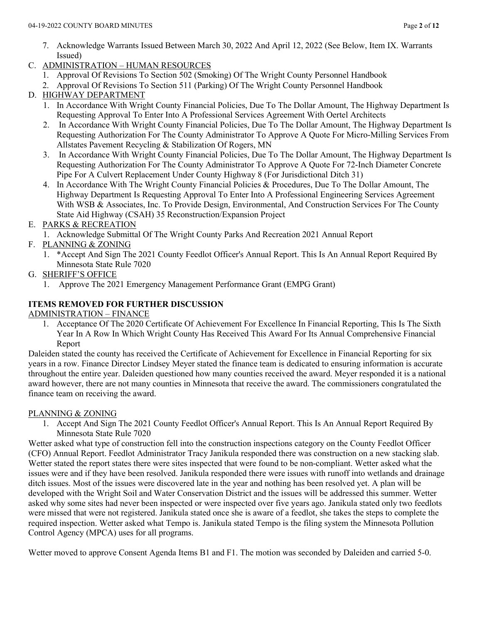- 7. Acknowledge Warrants Issued Between March 30, 2022 And April 12, 2022 (See Below, Item IX. Warrants Issued)
- C. ADMINISTRATION HUMAN RESOURCES
	- 1. Approval Of Revisions To Section 502 (Smoking) Of The Wright County Personnel Handbook
	- 2. Approval Of Revisions To Section 511 (Parking) Of The Wright County Personnel Handbook

# D. HIGHWAY DEPARTMENT

- 1. In Accordance With Wright County Financial Policies, Due To The Dollar Amount, The Highway Department Is Requesting Approval To Enter Into A Professional Services Agreement With Oertel Architects
- 2. In Accordance With Wright County Financial Policies, Due To The Dollar Amount, The Highway Department Is Requesting Authorization For The County Administrator To Approve A Quote For Micro-Milling Services From Allstates Pavement Recycling & Stabilization Of Rogers, MN
- 3. In Accordance With Wright County Financial Policies, Due To The Dollar Amount, The Highway Department Is Requesting Authorization For The County Administrator To Approve A Quote For 72-Inch Diameter Concrete Pipe For A Culvert Replacement Under County Highway 8 (For Jurisdictional Ditch 31)
- 4. In Accordance With The Wright County Financial Policies & Procedures, Due To The Dollar Amount, The Highway Department Is Requesting Approval To Enter Into A Professional Engineering Services Agreement With WSB & Associates, Inc. To Provide Design, Environmental, And Construction Services For The County State Aid Highway (CSAH) 35 Reconstruction/Expansion Project

## E. PARKS & RECREATION

- 1. Acknowledge Submittal Of The Wright County Parks And Recreation 2021 Annual Report
- F. PLANNING & ZONING
	- 1. \*Accept And Sign The 2021 County Feedlot Officer's Annual Report. This Is An Annual Report Required By Minnesota State Rule 7020
- G. SHERIFF'S OFFICE
	- 1. Approve The 2021 Emergency Management Performance Grant (EMPG Grant)

## **ITEMS REMOVED FOR FURTHER DISCUSSION**

### ADMINISTRATION – FINANCE

1. Acceptance Of The 2020 Certificate Of Achievement For Excellence In Financial Reporting, This Is The Sixth Year In A Row In Which Wright County Has Received This Award For Its Annual Comprehensive Financial Report

Daleiden stated the county has received the Certificate of Achievement for Excellence in Financial Reporting for six years in a row. Finance Director Lindsey Meyer stated the finance team is dedicated to ensuring information is accurate throughout the entire year. Daleiden questioned how many counties received the award. Meyer responded it is a national award however, there are not many counties in Minnesota that receive the award. The commissioners congratulated the finance team on receiving the award.

### PLANNING & ZONING

1. Accept And Sign The 2021 County Feedlot Officer's Annual Report. This Is An Annual Report Required By Minnesota State Rule 7020

Wetter asked what type of construction fell into the construction inspections category on the County Feedlot Officer (CFO) Annual Report. Feedlot Administrator Tracy Janikula responded there was construction on a new stacking slab. Wetter stated the report states there were sites inspected that were found to be non-compliant. Wetter asked what the issues were and if they have been resolved. Janikula responded there were issues with runoff into wetlands and drainage ditch issues. Most of the issues were discovered late in the year and nothing has been resolved yet. A plan will be developed with the Wright Soil and Water Conservation District and the issues will be addressed this summer. Wetter asked why some sites had never been inspected or were inspected over five years ago. Janikula stated only two feedlots were missed that were not registered. Janikula stated once she is aware of a feedlot, she takes the steps to complete the required inspection. Wetter asked what Tempo is. Janikula stated Tempo is the filing system the Minnesota Pollution Control Agency (MPCA) uses for all programs.

Wetter moved to approve Consent Agenda Items B1 and F1. The motion was seconded by Daleiden and carried 5-0.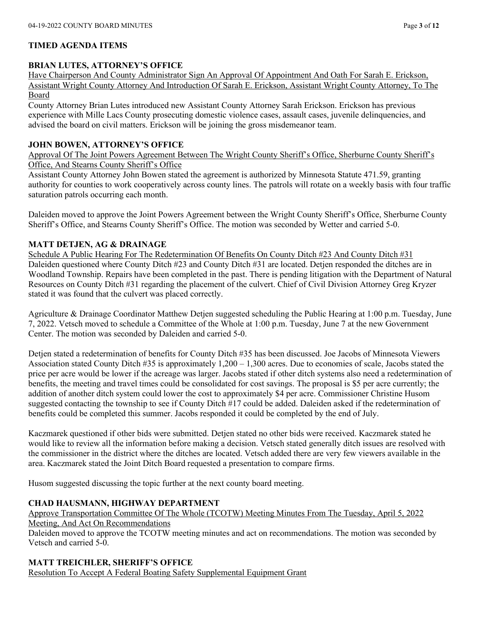### **TIMED AGENDA ITEMS**

### **BRIAN LUTES, ATTORNEY'S OFFICE**

Have Chairperson And County Administrator Sign An Approval Of Appointment And Oath For Sarah E. Erickson, Assistant Wright County Attorney And Introduction Of Sarah E. Erickson, Assistant Wright County Attorney, To The Board

County Attorney Brian Lutes introduced new Assistant County Attorney Sarah Erickson. Erickson has previous experience with Mille Lacs County prosecuting domestic violence cases, assault cases, juvenile delinquencies, and advised the board on civil matters. Erickson will be joining the gross misdemeanor team.

### **JOHN BOWEN, ATTORNEY'S OFFICE**

Approval Of The Joint Powers Agreement Between The Wright County Sheriff's Office, Sherburne County Sheriff's Office, And Stearns County Sheriff's Office

Assistant County Attorney John Bowen stated the agreement is authorized by Minnesota Statute 471.59, granting authority for counties to work cooperatively across county lines. The patrols will rotate on a weekly basis with four traffic saturation patrols occurring each month.

Daleiden moved to approve the Joint Powers Agreement between the Wright County Sheriff's Office, Sherburne County Sheriff's Office, and Stearns County Sheriff's Office. The motion was seconded by Wetter and carried 5-0.

### **MATT DETJEN, AG & DRAINAGE**

Schedule A Public Hearing For The Redetermination Of Benefits On County Ditch #23 And County Ditch #31 Daleiden questioned where County Ditch #23 and County Ditch #31 are located. Detjen responded the ditches are in Woodland Township. Repairs have been completed in the past. There is pending litigation with the Department of Natural Resources on County Ditch #31 regarding the placement of the culvert. Chief of Civil Division Attorney Greg Kryzer stated it was found that the culvert was placed correctly.

Agriculture & Drainage Coordinator Matthew Detjen suggested scheduling the Public Hearing at 1:00 p.m. Tuesday, June 7, 2022. Vetsch moved to schedule a Committee of the Whole at 1:00 p.m. Tuesday, June 7 at the new Government Center. The motion was seconded by Daleiden and carried 5-0.

Detjen stated a redetermination of benefits for County Ditch #35 has been discussed. Joe Jacobs of Minnesota Viewers Association stated County Ditch  $#35$  is approximately  $1,200 - 1,300$  acres. Due to economies of scale, Jacobs stated the price per acre would be lower if the acreage was larger. Jacobs stated if other ditch systems also need a redetermination of benefits, the meeting and travel times could be consolidated for cost savings. The proposal is \$5 per acre currently; the addition of another ditch system could lower the cost to approximately \$4 per acre. Commissioner Christine Husom suggested contacting the township to see if County Ditch #17 could be added. Daleiden asked if the redetermination of benefits could be completed this summer. Jacobs responded it could be completed by the end of July.

Kaczmarek questioned if other bids were submitted. Detjen stated no other bids were received. Kaczmarek stated he would like to review all the information before making a decision. Vetsch stated generally ditch issues are resolved with the commissioner in the district where the ditches are located. Vetsch added there are very few viewers available in the area. Kaczmarek stated the Joint Ditch Board requested a presentation to compare firms.

Husom suggested discussing the topic further at the next county board meeting.

### **CHAD HAUSMANN, HIGHWAY DEPARTMENT**

Approve Transportation Committee Of The Whole (TCOTW) Meeting Minutes From The Tuesday, April 5, 2022 Meeting, And Act On Recommendations

Daleiden moved to approve the TCOTW meeting minutes and act on recommendations. The motion was seconded by Vetsch and carried 5-0.

### **MATT TREICHLER, SHERIFF'S OFFICE**

Resolution To Accept A Federal Boating Safety Supplemental Equipment Grant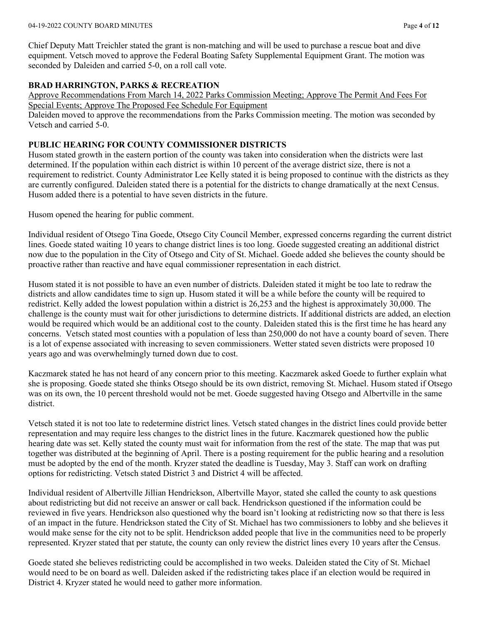#### 04-19-2022 COUNTY BOARD MINUTES Page **4** of **12**

Chief Deputy Matt Treichler stated the grant is non-matching and will be used to purchase a rescue boat and dive equipment. Vetsch moved to approve the Federal Boating Safety Supplemental Equipment Grant. The motion was seconded by Daleiden and carried 5-0, on a roll call vote.

### **BRAD HARRINGTON, PARKS & RECREATION**

Approve Recommendations From March 14, 2022 Parks Commission Meeting; Approve The Permit And Fees For Special Events; Approve The Proposed Fee Schedule For Equipment

Daleiden moved to approve the recommendations from the Parks Commission meeting. The motion was seconded by Vetsch and carried 5-0.

### **PUBLIC HEARING FOR COUNTY COMMISSIONER DISTRICTS**

Husom stated growth in the eastern portion of the county was taken into consideration when the districts were last determined. If the population within each district is within 10 percent of the average district size, there is not a requirement to redistrict. County Administrator Lee Kelly stated it is being proposed to continue with the districts as they are currently configured. Daleiden stated there is a potential for the districts to change dramatically at the next Census. Husom added there is a potential to have seven districts in the future.

Husom opened the hearing for public comment.

Individual resident of Otsego Tina Goede, Otsego City Council Member, expressed concerns regarding the current district lines. Goede stated waiting 10 years to change district lines is too long. Goede suggested creating an additional district now due to the population in the City of Otsego and City of St. Michael. Goede added she believes the county should be proactive rather than reactive and have equal commissioner representation in each district.

Husom stated it is not possible to have an even number of districts. Daleiden stated it might be too late to redraw the districts and allow candidates time to sign up. Husom stated it will be a while before the county will be required to redistrict. Kelly added the lowest population within a district is 26,253 and the highest is approximately 30,000. The challenge is the county must wait for other jurisdictions to determine districts. If additional districts are added, an election would be required which would be an additional cost to the county. Daleiden stated this is the first time he has heard any concerns. Vetsch stated most counties with a population of less than 250,000 do not have a county board of seven. There is a lot of expense associated with increasing to seven commissioners. Wetter stated seven districts were proposed 10 years ago and was overwhelmingly turned down due to cost.

Kaczmarek stated he has not heard of any concern prior to this meeting. Kaczmarek asked Goede to further explain what she is proposing. Goede stated she thinks Otsego should be its own district, removing St. Michael. Husom stated if Otsego was on its own, the 10 percent threshold would not be met. Goede suggested having Otsego and Albertville in the same district.

Vetsch stated it is not too late to redetermine district lines. Vetsch stated changes in the district lines could provide better representation and may require less changes to the district lines in the future. Kaczmarek questioned how the public hearing date was set. Kelly stated the county must wait for information from the rest of the state. The map that was put together was distributed at the beginning of April. There is a posting requirement for the public hearing and a resolution must be adopted by the end of the month. Kryzer stated the deadline is Tuesday, May 3. Staff can work on drafting options for redistricting. Vetsch stated District 3 and District 4 will be affected.

Individual resident of Albertville Jillian Hendrickson, Albertville Mayor, stated she called the county to ask questions about redistricting but did not receive an answer or call back. Hendrickson questioned if the information could be reviewed in five years. Hendrickson also questioned why the board isn't looking at redistricting now so that there is less of an impact in the future. Hendrickson stated the City of St. Michael has two commissioners to lobby and she believes it would make sense for the city not to be split. Hendrickson added people that live in the communities need to be properly represented. Kryzer stated that per statute, the county can only review the district lines every 10 years after the Census.

Goede stated she believes redistricting could be accomplished in two weeks. Daleiden stated the City of St. Michael would need to be on board as well. Daleiden asked if the redistricting takes place if an election would be required in District 4. Kryzer stated he would need to gather more information.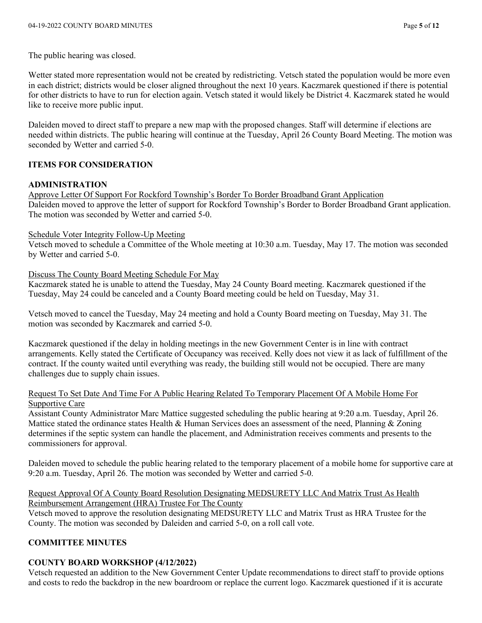The public hearing was closed.

Wetter stated more representation would not be created by redistricting. Vetsch stated the population would be more even in each district; districts would be closer aligned throughout the next 10 years. Kaczmarek questioned if there is potential for other districts to have to run for election again. Vetsch stated it would likely be District 4. Kaczmarek stated he would like to receive more public input.

Daleiden moved to direct staff to prepare a new map with the proposed changes. Staff will determine if elections are needed within districts. The public hearing will continue at the Tuesday, April 26 County Board Meeting. The motion was seconded by Wetter and carried 5-0.

### **ITEMS FOR CONSIDERATION**

### **ADMINISTRATION**

Approve Letter Of Support For Rockford Township's Border To Border Broadband Grant Application Daleiden moved to approve the letter of support for Rockford Township's Border to Border Broadband Grant application. The motion was seconded by Wetter and carried 5-0.

### Schedule Voter Integrity Follow-Up Meeting

Vetsch moved to schedule a Committee of the Whole meeting at 10:30 a.m. Tuesday, May 17. The motion was seconded by Wetter and carried 5-0.

Discuss The County Board Meeting Schedule For May

Kaczmarek stated he is unable to attend the Tuesday, May 24 County Board meeting. Kaczmarek questioned if the Tuesday, May 24 could be canceled and a County Board meeting could be held on Tuesday, May 31.

Vetsch moved to cancel the Tuesday, May 24 meeting and hold a County Board meeting on Tuesday, May 31. The motion was seconded by Kaczmarek and carried 5-0.

Kaczmarek questioned if the delay in holding meetings in the new Government Center is in line with contract arrangements. Kelly stated the Certificate of Occupancy was received. Kelly does not view it as lack of fulfillment of the contract. If the county waited until everything was ready, the building still would not be occupied. There are many challenges due to supply chain issues.

#### Request To Set Date And Time For A Public Hearing Related To Temporary Placement Of A Mobile Home For Supportive Care

Assistant County Administrator Marc Mattice suggested scheduling the public hearing at 9:20 a.m. Tuesday, April 26. Mattice stated the ordinance states Health & Human Services does an assessment of the need, Planning & Zoning determines if the septic system can handle the placement, and Administration receives comments and presents to the commissioners for approval.

Daleiden moved to schedule the public hearing related to the temporary placement of a mobile home for supportive care at 9:20 a.m. Tuesday, April 26. The motion was seconded by Wetter and carried 5-0.

## Request Approval Of A County Board Resolution Designating MEDSURETY LLC And Matrix Trust As Health Reimbursement Arrangement (HRA) Trustee For The County

Vetsch moved to approve the resolution designating MEDSURETY LLC and Matrix Trust as HRA Trustee for the County. The motion was seconded by Daleiden and carried 5-0, on a roll call vote.

### **COMMITTEE MINUTES**

### **COUNTY BOARD WORKSHOP (4/12/2022)**

Vetsch requested an addition to the New Government Center Update recommendations to direct staff to provide options and costs to redo the backdrop in the new boardroom or replace the current logo. Kaczmarek questioned if it is accurate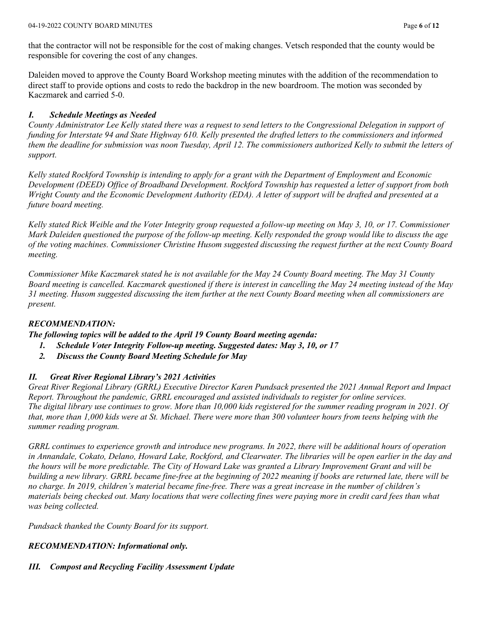that the contractor will not be responsible for the cost of making changes. Vetsch responded that the county would be responsible for covering the cost of any changes.

Daleiden moved to approve the County Board Workshop meeting minutes with the addition of the recommendation to direct staff to provide options and costs to redo the backdrop in the new boardroom. The motion was seconded by Kaczmarek and carried 5-0.

## *I. Schedule Meetings as Needed*

*County Administrator Lee Kelly stated there was a request to send letters to the Congressional Delegation in support of funding for Interstate 94 and State Highway 610. Kelly presented the drafted letters to the commissioners and informed them the deadline for submission was noon Tuesday, April 12. The commissioners authorized Kelly to submit the letters of support.* 

*Kelly stated Rockford Township is intending to apply for a grant with the Department of Employment and Economic Development (DEED) Office of Broadband Development. Rockford Township has requested a letter of support from both Wright County and the Economic Development Authority (EDA). A letter of support will be drafted and presented at a future board meeting.* 

*Kelly stated Rick Weible and the Voter Integrity group requested a follow-up meeting on May 3, 10, or 17. Commissioner Mark Daleiden questioned the purpose of the follow-up meeting. Kelly responded the group would like to discuss the age of the voting machines. Commissioner Christine Husom suggested discussing the request further at the next County Board meeting.* 

*Commissioner Mike Kaczmarek stated he is not available for the May 24 County Board meeting. The May 31 County Board meeting is cancelled. Kaczmarek questioned if there is interest in cancelling the May 24 meeting instead of the May 31 meeting. Husom suggested discussing the item further at the next County Board meeting when all commissioners are present.* 

### *RECOMMENDATION:*

*The following topics will be added to the April 19 County Board meeting agenda:* 

- *1. Schedule Voter Integrity Follow-up meeting. Suggested dates: May 3, 10, or 17*
- *2. Discuss the County Board Meeting Schedule for May*

## *II. Great River Regional Library's 2021 Activities*

*Great River Regional Library (GRRL) Executive Director Karen Pundsack presented the 2021 Annual Report and Impact Report. Throughout the pandemic, GRRL encouraged and assisted individuals to register for online services. The digital library use continues to grow. More than 10,000 kids registered for the summer reading program in 2021. Of that, more than 1,000 kids were at St. Michael. There were more than 300 volunteer hours from teens helping with the summer reading program.* 

*GRRL continues to experience growth and introduce new programs. In 2022, there will be additional hours of operation in Annandale, Cokato, Delano, Howard Lake, Rockford, and Clearwater. The libraries will be open earlier in the day and the hours will be more predictable. The City of Howard Lake was granted a Library Improvement Grant and will be building a new library. GRRL became fine-free at the beginning of 2022 meaning if books are returned late, there will be no charge. In 2019, children's material became fine-free. There was a great increase in the number of children's materials being checked out. Many locations that were collecting fines were paying more in credit card fees than what was being collected.* 

*Pundsack thanked the County Board for its support.* 

### *RECOMMENDATION: Informational only.*

# *III. Compost and Recycling Facility Assessment Update*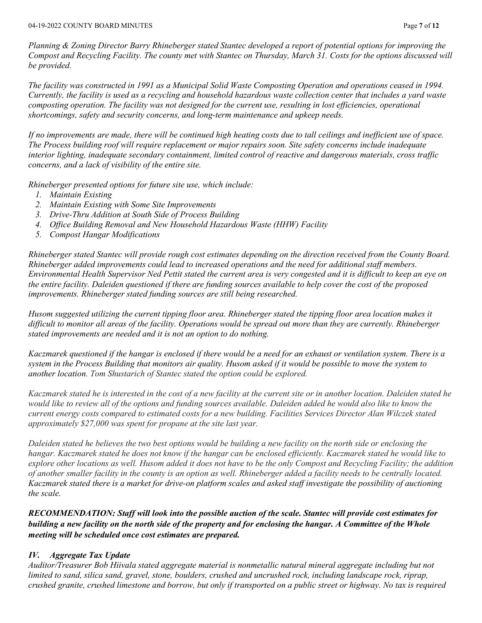*Planning & Zoning Director Barry Rhineberger stated Stantec developed a report of potential options for improving the Compost and Recycling Facility. The county met with Stantec on Thursday, March 31. Costs for the options discussed will be provided.* 

*The facility was constructed in 1991 as a Municipal Solid Waste Composting Operation and operations ceased in 1994. Currently, the facility is used as a recycling and household hazardous waste collection center that includes a yard waste composting operation. The facility was not designed for the current use, resulting in lost efficiencies, operational shortcomings, safety and security concerns, and long-term maintenance and upkeep needs.* 

*If no improvements are made, there will be continued high heating costs due to tall ceilings and inefficient use of space. The Process building roof will require replacement or major repairs soon. Site safety concerns include inadequate interior lighting, inadequate secondary containment, limited control of reactive and dangerous materials, cross traffic concerns, and a lack of visibility of the entire site.* 

*Rhineberger presented options for future site use, which include:* 

- *1. Maintain Existing*
- *2. Maintain Existing with Some Site Improvements*
- *3. Drive-Thru Addition at South Side of Process Building*
- *4. Office Building Removal and New Household Hazardous Waste (HHW) Facility*
- *5. Compost Hangar Modifications*

*Rhineberger stated Stantec will provide rough cost estimates depending on the direction received from the County Board. Rhineberger added improvements could lead to increased operations and the need for additional staff members. Environmental Health Supervisor Ned Pettit stated the current area is very congested and it is difficult to keep an eye on the entire facility. Daleiden questioned if there are funding sources available to help cover the cost of the proposed improvements. Rhineberger stated funding sources are still being researched.* 

*Husom suggested utilizing the current tipping floor area. Rhineberger stated the tipping floor area location makes it difficult to monitor all areas of the facility. Operations would be spread out more than they are currently. Rhineberger stated improvements are needed and it is not an option to do nothing.* 

*Kaczmarek questioned if the hangar is enclosed if there would be a need for an exhaust or ventilation system. There is a system in the Process Building that monitors air quality. Husom asked if it would be possible to move the system to another location. Tom Shustarich of Stantec stated the option could be explored.* 

*Kaczmarek stated he is interested in the cost of a new facility at the current site or in another location. Daleiden stated he*  would like to review all of the options and funding sources available. Daleiden added he would also like to know the *current energy costs compared to estimated costs for a new building. Facilities Services Director Alan Wilczek stated approximately \$27,000 was spent for propane at the site last year.* 

*Daleiden stated he believes the two best options would be building a new facility on the north side or enclosing the hangar. Kaczmarek stated he does not know if the hangar can be enclosed efficiently. Kaczmarek stated he would like to explore other locations as well. Husom added it does not have to be the only Compost and Recycling Facility; the addition of another smaller facility in the county is an option as well. Rhineberger added a facility needs to be centrally located. Kaczmarek stated there is a market for drive-on platform scales and asked staff investigate the possibility of auctioning the scale.* 

*RECOMMENDATION: Staff will look into the possible auction of the scale. Stantec will provide cost estimates for building a new facility on the north side of the property and for enclosing the hangar. A Committee of the Whole meeting will be scheduled once cost estimates are prepared.* 

### *IV. Aggregate Tax Update*

*Auditor/Treasurer Bob Hiivala stated aggregate material is nonmetallic natural mineral aggregate including but not limited to sand, silica sand, gravel, stone, boulders, crushed and uncrushed rock, including landscape rock, riprap, crushed granite, crushed limestone and borrow, but only if transported on a public street or highway. No tax is required*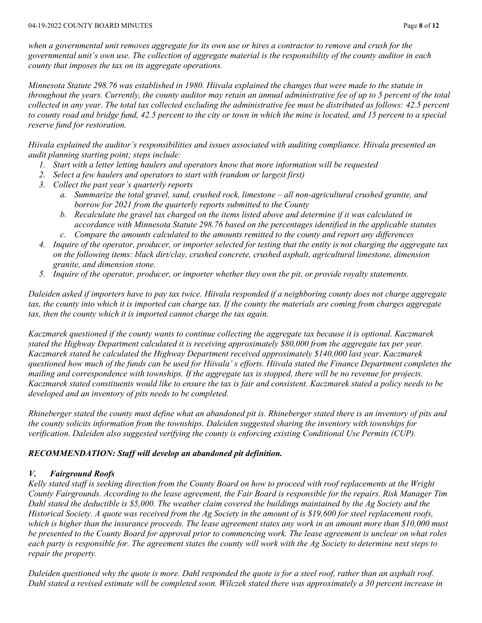*when a governmental unit removes aggregate for its own use or hires a contractor to remove and crush for the governmental unit's own use. The collection of aggregate material is the responsibility of the county auditor in each county that imposes the tax on its aggregate operations.* 

*Minnesota Statute 298.76 was established in 1980. Hiivala explained the changes that were made to the statute in throughout the years. Currently, the county auditor may retain an annual administrative fee of up to 5 percent of the total collected in any year. The total tax collected excluding the administrative fee must be distributed as follows: 42.5 percent to county road and bridge fund, 42.5 percent to the city or town in which the mine is located, and 15 percent to a special reserve fund for restoration.* 

*Hiivala explained the auditor's responsibilities and issues associated with auditing compliance. Hiivala presented an audit planning starting point; steps include:* 

- *1. Start with a letter letting haulers and operators know that more information will be requested*
- *2. Select a few haulers and operators to start with (random or largest first)*
- *3. Collect the past year's quarterly reports*
	- *a. Summarize the total gravel, sand, crushed rock, limestone – all non-agricultural crushed granite, and borrow for 2021 from the quarterly reports submitted to the County*
	- *b. Recalculate the gravel tax charged on the items listed above and determine if it was calculated in accordance with Minnesota Statute 298.76 based on the percentages identified in the applicable statutes c. Compare the amounts calculated to the amounts remitted to the county and report any differences*
- *4. Inquire of the operator, producer, or importer selected for testing that the entity is not charging the aggregate tax on the following items: black dirt/clay, crushed concrete, crushed asphalt, agricultural limestone, dimension granite, and dimension stone.*
- *5. Inquire of the operator, producer, or importer whether they own the pit, or provide royalty statements.*

*Daleiden asked if importers have to pay tax twice. Hiivala responded if a neighboring county does not charge aggregate tax, the county into which it is imported can charge tax. If the county the materials are coming from charges aggregate tax, then the county which it is imported cannot charge the tax again.* 

*Kaczmarek questioned if the county wants to continue collecting the aggregate tax because it is optional. Kaczmarek stated the Highway Department calculated it is receiving approximately \$80,000 from the aggregate tax per year. Kaczmarek stated he calculated the Highway Department received approximately \$140,000 last year. Kaczmarek questioned how much of the funds can be used for Hiivala' s efforts. Hiivala stated the Finance Department completes the mailing and correspondence with townships. If the aggregate tax is stopped, there will be no revenue for projects. Kaczmarek stated constituents would like to ensure the tax is fair and consistent. Kaczmarek stated a policy needs to be developed and an inventory of pits needs to be completed.* 

*Rhineberger stated the county must define what an abandoned pit is. Rhineberger stated there is an inventory of pits and the county solicits information from the townships. Daleiden suggested sharing the inventory with townships for verification. Daleiden also suggested verifying the county is enforcing existing Conditional Use Permits (CUP).* 

### *RECOMMENDATION: Staff will develop an abandoned pit definition.*

## *V. Fairground Roofs*

*Kelly stated staff is seeking direction from the County Board on how to proceed with roof replacements at the Wright County Fairgrounds. According to the lease agreement, the Fair Board is responsible for the repairs. Risk Manager Tim Dahl stated the deductible is \$5,000. The weather claim covered the buildings maintained by the Ag Society and the Historical Society. A quote was received from the Ag Society in the amount of is \$19,600 for steel replacement roofs, which is higher than the insurance proceeds. The lease agreement states any work in an amount more than \$10,000 must be presented to the County Board for approval prior to commencing work. The lease agreement is unclear on what roles each party is responsible for. The agreement states the county will work with the Ag Society to determine next steps to repair the property.* 

*Daleiden questioned why the quote is more. Dahl responded the quote is for a steel roof, rather than an asphalt roof. Dahl stated a revised estimate will be completed soon. Wilczek stated there was approximately a 30 percent increase in*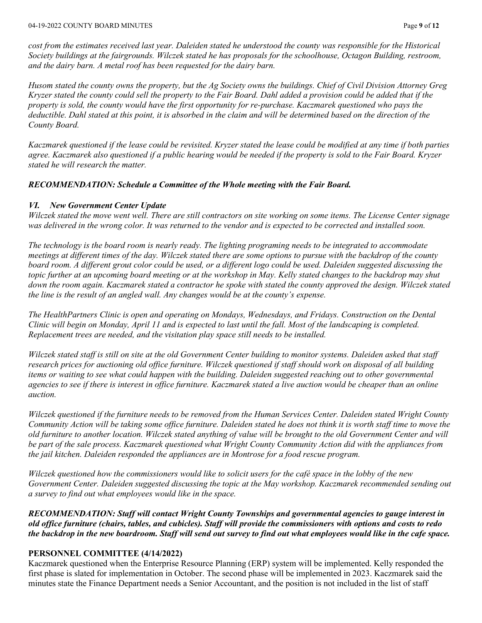*cost from the estimates received last year. Daleiden stated he understood the county was responsible for the Historical Society buildings at the fairgrounds. Wilczek stated he has proposals for the schoolhouse, Octagon Building, restroom, and the dairy barn. A metal roof has been requested for the dairy barn.* 

*Husom stated the county owns the property, but the Ag Society owns the buildings. Chief of Civil Division Attorney Greg Kryzer stated the county could sell the property to the Fair Board. Dahl added a provision could be added that if the property is sold, the county would have the first opportunity for re-purchase. Kaczmarek questioned who pays the deductible. Dahl stated at this point, it is absorbed in the claim and will be determined based on the direction of the County Board.* 

*Kaczmarek questioned if the lease could be revisited. Kryzer stated the lease could be modified at any time if both parties agree. Kaczmarek also questioned if a public hearing would be needed if the property is sold to the Fair Board. Kryzer stated he will research the matter.* 

### *RECOMMENDATION: Schedule a Committee of the Whole meeting with the Fair Board.*

### *VI. New Government Center Update*

*Wilczek stated the move went well. There are still contractors on site working on some items. The License Center signage*  was delivered in the wrong color. It was returned to the vendor and is expected to be corrected and installed soon.

*The technology is the board room is nearly ready. The lighting programing needs to be integrated to accommodate meetings at different times of the day. Wilczek stated there are some options to pursue with the backdrop of the county board room. A different grout color could be used, or a different logo could be used. Daleiden suggested discussing the*  topic further at an upcoming board meeting or at the workshop in May. Kelly stated changes to the backdrop may shut *down the room again. Kaczmarek stated a contractor he spoke with stated the county approved the design. Wilczek stated the line is the result of an angled wall. Any changes would be at the county's expense.* 

*The HealthPartners Clinic is open and operating on Mondays, Wednesdays, and Fridays. Construction on the Dental Clinic will begin on Monday, April 11 and is expected to last until the fall. Most of the landscaping is completed. Replacement trees are needed, and the visitation play space still needs to be installed.* 

*Wilczek stated staff is still on site at the old Government Center building to monitor systems. Daleiden asked that staff research prices for auctioning old office furniture. Wilczek questioned if staff should work on disposal of all building items or waiting to see what could happen with the building. Daleiden suggested reaching out to other governmental agencies to see if there is interest in office furniture. Kaczmarek stated a live auction would be cheaper than an online auction.* 

*Wilczek questioned if the furniture needs to be removed from the Human Services Center. Daleiden stated Wright County Community Action will be taking some office furniture. Daleiden stated he does not think it is worth staff time to move the old furniture to another location. Wilczek stated anything of value will be brought to the old Government Center and will be part of the sale process. Kaczmarek questioned what Wright County Community Action did with the appliances from the jail kitchen. Daleiden responded the appliances are in Montrose for a food rescue program.* 

*Wilczek questioned how the commissioners would like to solicit users for the café space in the lobby of the new*  Government Center. Daleiden suggested discussing the topic at the May workshop. Kaczmarek recommended sending out *a survey to find out what employees would like in the space.* 

*RECOMMENDATION: Staff will contact Wright County Townships and governmental agencies to gauge interest in old office furniture (chairs, tables, and cubicles). Staff will provide the commissioners with options and costs to redo the backdrop in the new boardroom. Staff will send out survey to find out what employees would like in the cafe space.*

### **PERSONNEL COMMITTEE (4/14/2022)**

Kaczmarek questioned when the Enterprise Resource Planning (ERP) system will be implemented. Kelly responded the first phase is slated for implementation in October. The second phase will be implemented in 2023. Kaczmarek said the minutes state the Finance Department needs a Senior Accountant, and the position is not included in the list of staff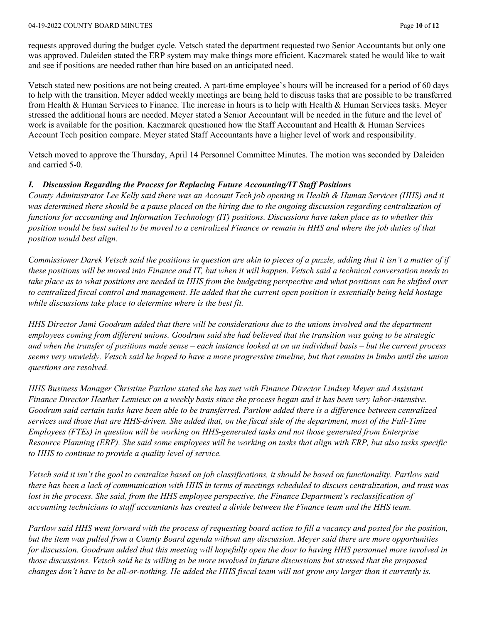#### 04-19-2022 COUNTY BOARD MINUTES Page **10** of **12**

requests approved during the budget cycle. Vetsch stated the department requested two Senior Accountants but only one was approved. Daleiden stated the ERP system may make things more efficient. Kaczmarek stated he would like to wait and see if positions are needed rather than hire based on an anticipated need.

Vetsch stated new positions are not being created. A part-time employee's hours will be increased for a period of 60 days to help with the transition. Meyer added weekly meetings are being held to discuss tasks that are possible to be transferred from Health & Human Services to Finance. The increase in hours is to help with Health & Human Services tasks. Meyer stressed the additional hours are needed. Meyer stated a Senior Accountant will be needed in the future and the level of work is available for the position. Kaczmarek questioned how the Staff Accountant and Health & Human Services Account Tech position compare. Meyer stated Staff Accountants have a higher level of work and responsibility.

Vetsch moved to approve the Thursday, April 14 Personnel Committee Minutes. The motion was seconded by Daleiden and carried 5-0.

### *I. Discussion Regarding the Process for Replacing Future Accounting/IT Staff Positions*

*County Administrator Lee Kelly said there was an Account Tech job opening in Health & Human Services (HHS) and it was determined there should be a pause placed on the hiring due to the ongoing discussion regarding centralization of functions for accounting and Information Technology (IT) positions. Discussions have taken place as to whether this position would be best suited to be moved to a centralized Finance or remain in HHS and where the job duties of that position would best align.*

*Commissioner Darek Vetsch said the positions in question are akin to pieces of a puzzle, adding that it isn't a matter of if these positions will be moved into Finance and IT, but when it will happen. Vetsch said a technical conversation needs to take place as to what positions are needed in HHS from the budgeting perspective and what positions can be shifted over*  to centralized fiscal control and management. He added that the current open position is essentially being held hostage *while discussions take place to determine where is the best fit.*

*HHS Director Jami Goodrum added that there will be considerations due to the unions involved and the department employees coming from different unions. Goodrum said she had believed that the transition was going to be strategic and when the transfer of positions made sense – each instance looked at on an individual basis – but the current process seems very unwieldy. Vetsch said he hoped to have a more progressive timeline, but that remains in limbo until the union questions are resolved.*

*HHS Business Manager Christine Partlow stated she has met with Finance Director Lindsey Meyer and Assistant Finance Director Heather Lemieux on a weekly basis since the process began and it has been very labor-intensive. Goodrum said certain tasks have been able to be transferred. Partlow added there is a difference between centralized services and those that are HHS-driven. She added that, on the fiscal side of the department, most of the Full-Time Employees (FTEs) in question will be working on HHS-generated tasks and not those generated from Enterprise Resource Planning (ERP). She said some employees will be working on tasks that align with ERP, but also tasks specific to HHS to continue to provide a quality level of service.*

*Vetsch said it isn't the goal to centralize based on job classifications, it should be based on functionality. Partlow said there has been a lack of communication with HHS in terms of meetings scheduled to discuss centralization, and trust was lost in the process. She said, from the HHS employee perspective, the Finance Department's reclassification of accounting technicians to staff accountants has created a divide between the Finance team and the HHS team.* 

*Partlow said HHS went forward with the process of requesting board action to fill a vacancy and posted for the position, but the item was pulled from a County Board agenda without any discussion. Meyer said there are more opportunities for discussion. Goodrum added that this meeting will hopefully open the door to having HHS personnel more involved in those discussions. Vetsch said he is willing to be more involved in future discussions but stressed that the proposed changes don't have to be all-or-nothing. He added the HHS fiscal team will not grow any larger than it currently is.*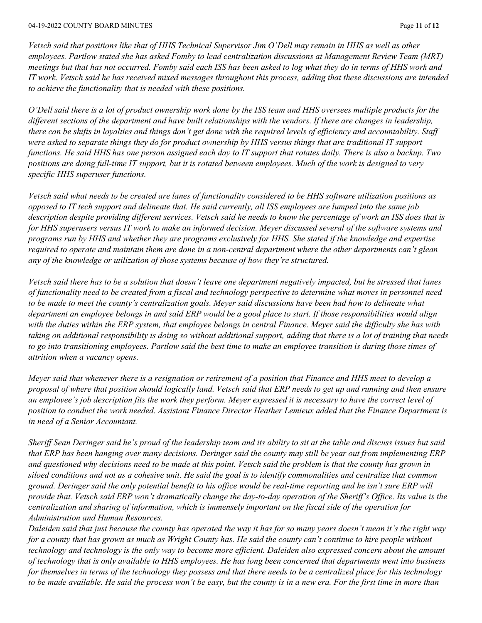*Vetsch said that positions like that of HHS Technical Supervisor Jim O'Dell may remain in HHS as well as other employees. Partlow stated she has asked Fomby to lead centralization discussions at Management Review Team (MRT) meetings but that has not occurred. Fomby said each ISS has been asked to log what they do in terms of HHS work and IT work. Vetsch said he has received mixed messages throughout this process, adding that these discussions are intended to achieve the functionality that is needed with these positions.* 

*O'Dell said there is a lot of product ownership work done by the ISS team and HHS oversees multiple products for the different sections of the department and have built relationships with the vendors. If there are changes in leadership, there can be shifts in loyalties and things don't get done with the required levels of efficiency and accountability. Staff were asked to separate things they do for product ownership by HHS versus things that are traditional IT support functions. He said HHS has one person assigned each day to IT support that rotates daily. There is also a backup. Two positions are doing full-time IT support, but it is rotated between employees. Much of the work is designed to very specific HHS superuser functions.*

*Vetsch said what needs to be created are lanes of functionality considered to be HHS software utilization positions as opposed to IT tech support and delineate that. He said currently, all ISS employees are lumped into the same job description despite providing different services. Vetsch said he needs to know the percentage of work an ISS does that is for HHS superusers versus IT work to make an informed decision. Meyer discussed several of the software systems and programs run by HHS and whether they are programs exclusively for HHS. She stated if the knowledge and expertise required to operate and maintain them are done in a non-central department where the other departments can't glean any of the knowledge or utilization of those systems because of how they're structured.* 

*Vetsch said there has to be a solution that doesn't leave one department negatively impacted, but he stressed that lanes of functionality need to be created from a fiscal and technology perspective to determine what moves in personnel need*  to be made to meet the county's centralization goals. Meyer said discussions have been had how to delineate what *department an employee belongs in and said ERP would be a good place to start. If those responsibilities would align with the duties within the ERP system, that employee belongs in central Finance. Meyer said the difficulty she has with taking on additional responsibility is doing so without additional support, adding that there is a lot of training that needs to go into transitioning employees. Partlow said the best time to make an employee transition is during those times of attrition when a vacancy opens.* 

*Meyer said that whenever there is a resignation or retirement of a position that Finance and HHS meet to develop a proposal of where that position should logically land. Vetsch said that ERP needs to get up and running and then ensure an employee's job description fits the work they perform. Meyer expressed it is necessary to have the correct level of position to conduct the work needed. Assistant Finance Director Heather Lemieux added that the Finance Department is in need of a Senior Accountant.*

*Sheriff Sean Deringer said he's proud of the leadership team and its ability to sit at the table and discuss issues but said that ERP has been hanging over many decisions. Deringer said the county may still be year out from implementing ERP and questioned why decisions need to be made at this point. Vetsch said the problem is that the county has grown in siloed conditions and not as a cohesive unit. He said the goal is to identify commonalities and centralize that common ground. Deringer said the only potential benefit to his office would be real-time reporting and he isn't sure ERP will provide that. Vetsch said ERP won't dramatically change the day-to-day operation of the Sheriff's Office. Its value is the centralization and sharing of information, which is immensely important on the fiscal side of the operation for Administration and Human Resources.*

*Daleiden said that just because the county has operated the way it has for so many years doesn't mean it's the right way for a county that has grown as much as Wright County has. He said the county can't continue to hire people without technology and technology is the only way to become more efficient. Daleiden also expressed concern about the amount of technology that is only available to HHS employees. He has long been concerned that departments went into business for themselves in terms of the technology they possess and that there needs to be a centralized place for this technology to be made available. He said the process won't be easy, but the county is in a new era. For the first time in more than*